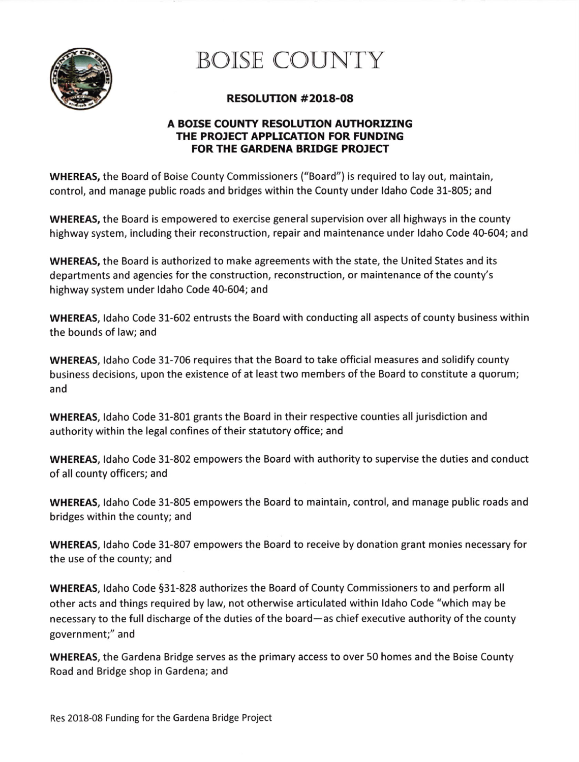

## **BOISE COUNTY**

### RESOLUTTON #2018-08

#### A BOISE COUNTY RESOLUTION AUTHORIZING THE PROJECT APPLICATION FOR FUNDING FOR THE GARDENA BRIDGE PROJECT

WHEREAS, the Board of Boise County Commissioners ("Board") is required to lay out, maintain, control, and manage public roads and bridges within the County under ldaho Code 31-805; and

WHEREAS, the Board is empowered to exercise general supervision over all highways in the county highway system, including their reconstruction, repair and maintenance under ldaho Code 40-604; and

WHEREAS, the Board is authorized to make agreements with the state, the United States and its departments and agencies for the construction, reconstruction, or maintenance of the county's highway system under ldaho Code 40-604; and

WHEREAS, ldaho Code 31-602 entrusts the Board with conducting all aspects of county business within the bounds of law; and

WHEREAS, ldaho Code 31-706 requires that the Board to take official measures and solidify county business decisions, upon the existence of at least two members of the Board to constitute a quorum; and

WHEREAS, ldaho Code 31-801 grants the Board in their respective counties all jurisdiction and authority within the legal confines of their statutory office; and

WHEREAS, ldaho Code 31-802 empowers the Board with authority to supervise the duties and conduct of all county officers; and

WHEREAS, ldaho Code 31-805 empowers the Board to maintain, control, and manage public roads and bridges within the county; and

WHEREAS, ldaho Code 31-807 empowers the Board to receive by donation grant monies necessary for the use of the county; and

WHEREAS, ldaho Code 531-828 authorizes the Board of County Commissioners to and perform all other acts and things required by law, not otherwise articulated within ldaho Code "which may be necessary to the full discharge of the duties of the board—as chief executive authority of the county government;" and

WHEREAS, the Gardena Bridge serves as the primary access to over 50 homes and the Boise County Road and Bridge shop in Gardena; and